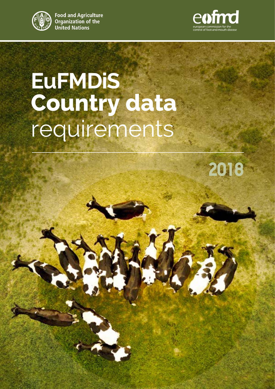

**Food and Agriculture** Organization of the **United Nations** 



### **EuFMDiS Country data** requirements

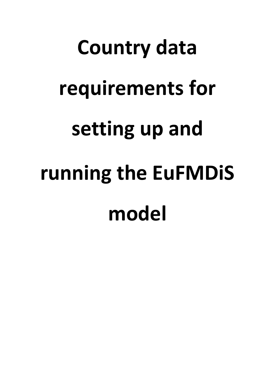# **Country data requirements for setting up and running the EuFMDiS model**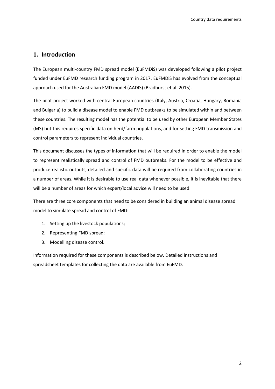### **1. Introduction**

The European multi-country FMD spread model (EuFMDiS) was developed following a pilot project funded under EuFMD research funding program in 2017. EuFMDiS has evolved from the conceptual approach used for the Australian FMD model (AADIS) (Bradhurst et al. 2015).

The pilot project worked with central European countries (Italy, Austria, Croatia, Hungary, Romania and Bulgaria) to build a disease model to enable FMD outbreaks to be simulated within and between these countries. The resulting model has the potential to be used by other European Member States (MS) but this requires specific data on herd/farm populations, and for setting FMD transmission and control parameters to represent individual countries.

This document discusses the types of information that will be required in order to enable the model to represent realistically spread and control of FMD outbreaks. For the model to be effective and produce realistic outputs, detailed and specific data will be required from collaborating countries in a number of areas. While it is desirable to use real data whenever possible, it is inevitable that there will be a number of areas for which expert/local advice will need to be used.

There are three core components that need to be considered in building an animal disease spread model to simulate spread and control of FMD:

- 1. Setting up the livestock populations;
- 2. Representing FMD spread;
- 3. Modelling disease control.

Information required for these components is described below. Detailed instructions and spreadsheet templates for collecting the data are available from EuFMD.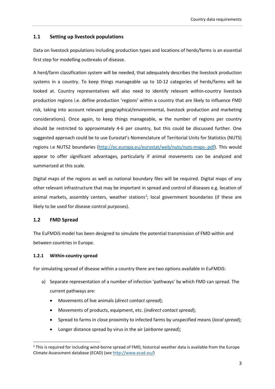### **1.1 Setting up livestock populations**

Data on livestock populations including production types and locations of herds/farms is an essential first step for modelling outbreaks of disease.

A herd/farm classification system will be needed, that adequately describes the livestock production systems in a country. To keep things manageable up to 10-12 categories of herds/farms will be looked at. Country representatives will also need to identify relevant within-country livestock production regions i.e. define production 'regions' within a country that are likely to influence FMD risk, taking into account relevant geographical/environmental, livestock production and marketing considerations). Once again, to keep things manageable, w the number of regions per country should be restricted to approximately 4-6 per country, but this could be discussed further. One suggested approach could be to use Eurostat's Nomenclature of Territorial Units for Statistics (NUTS) regions i.e NUTS2 boundaries [\(http://ec.europa.eu/eurostat/web/nuts/nuts-maps-.pdf\)](http://ec.europa.eu/eurostat/web/nuts/nuts-maps-.pdf). This would appear to offer significant advantages, particularly if animal movements can be analyzed and summarized at this scale.

Digital maps of the regions as well as national boundary files will be required. Digital maps of any other relevant infrastructure that may be important in spread and control of diseases e.g. location of animal markets, assembly centers, weather stations<sup>[1](#page-4-0)</sup>; local government boundaries (if these are likely to be used for disease control purposes).

### **1.2 FMD Spread**

The EuFMDiS model has been designed to simulate the potential transmission of FMD within and between countries in Europe.

### **1.2.1 Within-country spread**

For simulating spread of disease within a country there are two options available in EuFMDiS:

- a) Separate representation of a number of infection 'pathways' by which FMD can spread. The current pathways are:
	- Movements of live animals (*direct contact spread*);
	- Movements of products, equipment, etc. (*indirect contact spread*);
	- Spread to farms in close proximity to infected farms by unspecified means (*local spread*);
	- Longer distance spread by virus in the air (*airborne spread*);

<span id="page-4-0"></span> $1$  This is required for including wind-borne spread of FMD, historical weather data is available from the Europe Climate Assessment database (ECAD) (se[e http://www.ecad.eu/\)](http://www.ecad.eu/)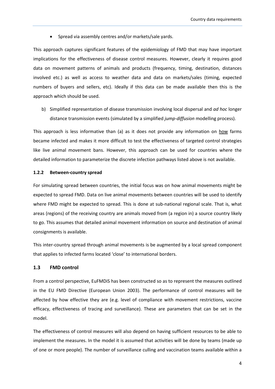• Spread via assembly centres and/or markets/sale yards.

This approach captures significant features of the epidemiology of FMD that may have important implications for the effectiveness of disease control measures. However, clearly it requires good data on movement patterns of animals and products (frequency, timing, destination, distances involved etc.) as well as access to weather data and data on markets/sales (timing, expected numbers of buyers and sellers, etc). Ideally if this data can be made available then this is the approach which should be used.

b) Simplified representation of disease transmission involving local dispersal and *ad hoc* longer distance transmission events (simulated by a simplified *jump-diffusion* modelling process).

This approach is less informative than (a) as it does not provide any information on how farms became infected and makes it more difficult to test the effectiveness of targeted control strategies like live animal movement bans. However, this approach can be used for countries where the detailed information to parameterize the discrete infection pathways listed above is not available.

### **1.2.2 Between-country spread**

For simulating spread between countries, the initial focus was on how animal movements might be expected to spread FMD. Data on live animal movements between countries will be used to identify where FMD might be expected to spread. This is done at sub-national regional scale. That is, what areas (regions) of the receiving country are animals moved from (a region in) a source country likely to go. This assumes that detailed animal movement information on source and destination of animal consignments is available.

This inter-country spread through animal movements is be augmented by a local spread component that applies to infected farms located 'close' to international borders.

### **1.3 FMD control**

From a control perspective, EuFMDiS has been constructed so as to represent the measures outlined in the EU FMD Directive (European Union 2003). The performance of control measures will be affected by how effective they are (e.g. level of compliance with movement restrictions, vaccine efficacy, effectiveness of tracing and surveillance). These are parameters that can be set in the model.

The effectiveness of control measures will also depend on having sufficient resources to be able to implement the measures. In the model it is assumed that activities will be done by teams (made up of one or more people). The number of surveillance culling and vaccination teams available within a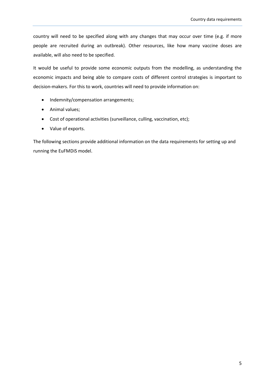country will need to be specified along with any changes that may occur over time (e.g. if more people are recruited during an outbreak). Other resources, like how many vaccine doses are available, will also need to be specified.

It would be useful to provide some economic outputs from the modelling, as understanding the economic impacts and being able to compare costs of different control strategies is important to decision-makers. For this to work, countries will need to provide information on:

- Indemnity/compensation arrangements;
- Animal values;
- Cost of operational activities (surveillance, culling, vaccination, etc);
- Value of exports.

The following sections provide additional information on the data requirements for setting up and running the EuFMDiS model.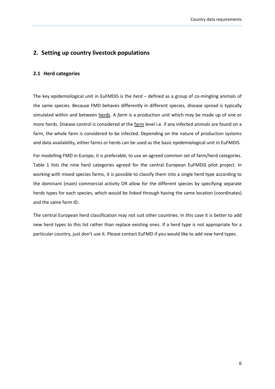### **2. Setting up country livestock populations**

### **2.1 Herd categories**

The key epidemiological unit in EuFMDiS is the *herd* – defined as a group of co-mingling animals of the same species. Because FMD behaves differently in different species, disease spread is typically simulated within and between herds. A *farm* is a production unit which may be made up of one or more herds. Disease control is considered at the farm level i.e. if any infected animals are found on a farm, the whole farm is considered to be infected. Depending on the nature of production systems and data availability, either farms or herds can be used as the basic epidemiological unit in EuFMDiS.

For modelling FMD in Europe, it is preferable, to use an agreed common set of farm/herd categories. Table 1 lists the nine herd categories agreed for the central European EuFMDiS pilot project. In working with mixed species farms, it is possible to classify them into a single herd type according to the dominant (main) commercial activity OR allow for the different species by specifying separate herds types for each species, which would be linked through having the same location (coordinates) and the same farm ID.

The central European herd classification may not suit other countries. In this case it is better to add new herd types to this list rather than replace existing ones. If a herd type is not appropriate for a particular country, just don't use it. Please contact EuFMD if you would like to add new herd types.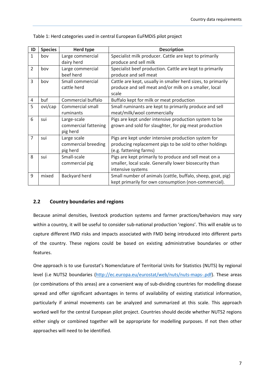| ID             | <b>Species</b> | <b>Herd type</b>     | <b>Description</b>                                           |  |  |  |
|----------------|----------------|----------------------|--------------------------------------------------------------|--|--|--|
| $\mathbf{1}$   | bov            | Large commercial     | Specialist milk producer. Cattle are kept to primarily       |  |  |  |
|                |                | dairy herd           | produce and sell milk                                        |  |  |  |
| $\overline{2}$ | bov            | Large commercial     | Specialist beef production. Cattle are kept to primarily     |  |  |  |
|                |                | beef herd            | produce and sell meat                                        |  |  |  |
| 3              | bov            | Small commercial     | Cattle are kept, usually in smaller herd sizes, to primarily |  |  |  |
|                |                | cattle herd          | produce and sell meat and/or milk on a smaller, local        |  |  |  |
|                |                |                      | scale                                                        |  |  |  |
| 4              | buf            | Commercial buffalo   | Buffalo kept for milk or meat production                     |  |  |  |
| 5              | ovi/cap        | Commercial small     | Small ruminants are kept to primarily produce and sell       |  |  |  |
|                |                | ruminants            | meat/milk/wool commercially                                  |  |  |  |
| 6              | sui            | Large-scale          | Pigs are kept under intensive production system to be        |  |  |  |
|                |                | commercial fattening | grown and sold for slaughter, for pig meat production        |  |  |  |
|                |                | pig herd             |                                                              |  |  |  |
| $\overline{7}$ | sui            | Large scale          | Pigs are kept under intensive production system for          |  |  |  |
|                |                | commercial breeding  | producing replacement pigs to be sold to other holdings      |  |  |  |
|                |                | pig herd             | (e.g. fattening farms)                                       |  |  |  |
| 8              | sui            | Small-scale          | Pigs are kept primarily to produce and sell meat on a        |  |  |  |
|                |                | commercial pig       | smaller, local scale. Generally lower biosecurity than       |  |  |  |
|                |                |                      | intensive systems                                            |  |  |  |
| 9              | mixed          | Backyard herd        | Small number of animals (cattle, buffalo, sheep, goat, pig)  |  |  |  |
|                |                |                      | kept primarily for own consumption (non-commercial).         |  |  |  |

Table 1: Herd categories used in central European EuFMDiS pilot project

### **2.2 Country boundaries and regions**

Because animal densities, livestock production systems and farmer practices/behaviors may vary within a country, it will be useful to consider sub-national production 'regions'. This will enable us to capture different FMD risks and impacts associated with FMD being introduced into different parts of the country. These regions could be based on existing administrative boundaries or other features.

One approach is to use Eurostat's Nomenclature of Territorial Units for Statistics (NUTS) by regional level (i.e NUTS2 boundaries [\(http://ec.europa.eu/eurostat/web/nuts/nuts-maps-.pdf\)](http://ec.europa.eu/eurostat/web/nuts/nuts-maps-.pdf). These areas (or combinations of this areas) are a convenient way of sub-dividing countries for modelling disease spread and offer significant advantages in terms of availability of existing statistical information, particularly if animal movements can be analyzed and summarized at this scale. This approach worked well for the central European pilot project. Countries should decide whether NUTS2 regions either singly or combined together will be appropriate for modelling purposes. If not then other approaches will need to be identified.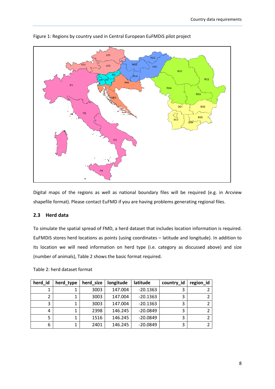

### Figure 1: Regions by country used in Central European EuFMDiS pilot project

Digital maps of the regions as well as national boundary files will be required (e.g. in Arcview shapefile format). Please contact EuFMD if you are having problems generating regional files.

### **2.3 Herd data**

To simulate the spatial spread of FMD, a herd dataset that includes location information is required. EuFMDiS stores herd locations as points (using coordinates – latitude and longitude). In addition to its location we will need information on herd type (i.e. category as discussed above) and size (number of animals), Table 2 shows the basic format required.

| herd id | herd_type | herd size | longitude | latitude   | country_id | region_id |
|---------|-----------|-----------|-----------|------------|------------|-----------|
|         |           | 3003      | 147.004   | $-20.1363$ |            |           |
|         |           | 3003      | 147.004   | $-20.1363$ |            |           |
| 3       |           | 3003      | 147.004   | $-20.1363$ | 3          |           |
| 4       |           | 2398      | 146.245   | $-20.0849$ | っ          |           |
|         |           | 1516      | 146.245   | $-20.0849$ |            |           |
| 6       |           | 2401      | 146.245   | $-20.0849$ | 3          |           |

Table 2: herd dataset format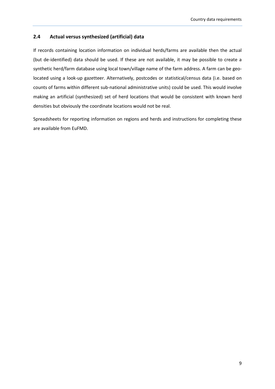### **2.4 Actual versus synthesized (artificial) data**

If records containing location information on individual herds/farms are available then the actual (but de-identified) data should be used. If these are not available, it may be possible to create a synthetic herd/farm database using local town/village name of the farm address. A farm can be geolocated using a look-up gazetteer. Alternatively, postcodes or statistical/census data (i.e. based on counts of farms within different sub-national administrative units) could be used. This would involve making an artificial (synthesized) set of herd locations that would be consistent with known herd densities but obviously the coordinate locations would not be real.

Spreadsheets for reporting information on regions and herds and instructions for completing these are available from EuFMD.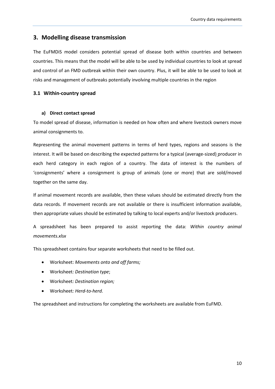### **3. Modelling disease transmission**

The EuFMDiS model considers potential spread of disease both within countries and between countries. This means that the model will be able to be used by individual countries to look at spread and control of an FMD outbreak within their own country. Plus, it will be able to be used to look at risks and management of outbreaks potentially involving multiple countries in the region

### **3.1 Within-country spread**

### **a) Direct contact spread**

To model spread of disease, information is needed on how often and where livestock owners move animal consignments to.

Representing the animal movement patterns in terms of herd types, regions and seasons is the interest. It will be based on describing the expected patterns for a typical (average-sized) producer in each herd category in each region of a country. The data of interest is the numbers of 'consignments' where a consignment is group of animals (one or more) that are sold/moved together on the same day.

If animal movement records are available, then these values should be estimated directly from the data records. If movement records are not available or there is insufficient information available, then appropriate values should be estimated by talking to local experts and/or livestock producers.

A spreadsheet has been prepared to assist reporting the data: *Within country animal movements.xlsx*

This spreadsheet contains four separate worksheets that need to be filled out.

- Worksheet: *Movements onto and off farms;*
- Worksheet*: Destination type*;
- Worksheet*: Destination region;*
- Worksheet*: Herd-to-herd.*

The spreadsheet and instructions for completing the worksheets are available from EuFMD.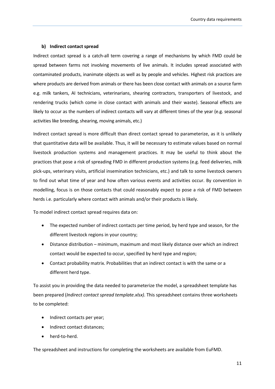### **b) Indirect contact spread**

Indirect contact spread is a catch-all term covering a range of mechanisms by which FMD could be spread between farms not involving movements of live animals. It includes spread associated with contaminated products, inanimate objects as well as by people and vehicles. Highest risk practices are where products are derived from animals or there has been close contact with animals on a source farm e.g. milk tankers, AI technicians, veterinarians, shearing contractors, transporters of livestock, and rendering trucks (which come in close contact with animals and their waste). Seasonal effects are likely to occur as the numbers of indirect contacts will vary at different times of the year (e.g. seasonal activities like breeding, shearing, moving animals, etc.)

Indirect contact spread is more difficult than direct contact spread to parameterize, as it is unlikely that quantitative data will be available. Thus, it will be necessary to estimate values based on normal livestock production systems and management practices. It may be useful to think about the practices that pose a risk of spreading FMD in different production systems (e.g. feed deliveries, milk pick-ups, veterinary visits, artificial insemination technicians, etc.) and talk to some livestock owners to find out what time of year and how often various events and activities occur. By convention in modelling, focus is on those contacts that could reasonably expect to pose a risk of FMD between herds i.e. particularly where contact with animals and/or their products is likely.

To model indirect contact spread requires data on:

- The expected number of indirect contacts per time period, by herd type and season, for the different livestock regions in your country;
- Distance distribution minimum, maximum and most likely distance over which an indirect contact would be expected to occur, specified by herd type and region;
- Contact probability matrix. Probabilities that an indirect contact is with the same or a different herd type.

To assist you in providing the data needed to parameterize the model, a spreadsheet template has been prepared (*Indirect contact spread template.xlsx)*. This spreadsheet contains three worksheets to be completed:

- Indirect contacts per year;
- Indirect contact distances;
- herd-to-herd.

The spreadsheet and instructions for completing the worksheets are available from EuFMD.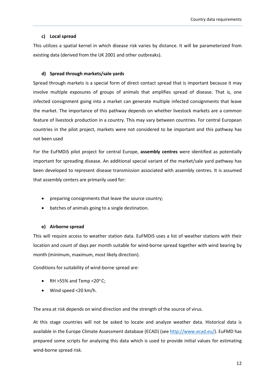### **c) Local spread**

This utilizes a spatial kernel in which disease risk varies by distance. It will be parameterized from existing data (derived from the UK 2001 and other outbreaks).

### **d) Spread through markets/sale yards**

Spread through markets is a special form of direct contact spread that is important because it may involve multiple exposures of groups of animals that amplifies spread of disease. That is, one infected consignment going into a market can generate multiple infected consignments that leave the market. The importance of this pathway depends on whether livestock markets are a common feature of livestock production in a country. This may vary between countries. For central European countries in the pilot project, markets were not considered to be important and this pathway has not been used

For the EuFMDiS pilot project for central Europe, **assembly centres** were identified as potentially important for spreading disease. An additional special variant of the market/sale yard pathway has been developed to represent disease transmission associated with assembly centres. It is assumed that assembly centers are primarily used for:

- preparing consignments that leave the source country;
- batches of animals going to a single destination.

### **e) Airborne spread**

This will require access to weather station data. EuFMDiS uses a list of weather stations with their location and count of days per month suitable for wind-borne spread together with wind bearing by month (minimum, maximum, most likely direction).

Conditions for suitability of wind-borne spread are:

- RH  $>55%$  and Temp <20 $^{\circ}$  C;
- Wind speed <20 km/h.

The area at risk depends on wind direction and the strength of the source of virus.

At this stage countries will not be asked to locate and analyze weather data. Historical data is available in the Europe Climate Assessment database (ECAD) (see [http://www.ecad.eu/\)](http://www.ecad.eu/). EuFMD has prepared some scripts for analyzing this data which is used to provide initial values for estimating wind-borne spread risk.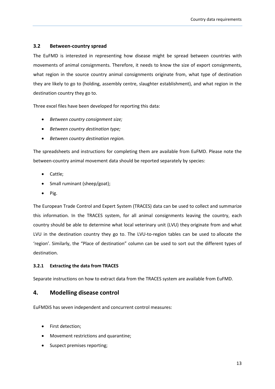### **3.2 Between-country spread**

The EuFMD is interested in representing how disease might be spread between countries with movements of animal consignments. Therefore, it needs to know the size of export consignments, what region in the source country animal consignments originate from, what type of destination they are likely to go to (holding, assembly centre, slaughter establishment), and what region in the destination country they go to.

Three excel files have been developed for reporting this data:

- *Between country consignment size;*
- *Between country destination type;*
- *Between country destination region.*

The spreadsheets and instructions for completing them are available from EuFMD. Please note the between-country animal movement data should be reported separately by species:

- Cattle;
- Small ruminant (sheep/goat);
- Pig.

The European Trade Control and Expert System (TRACES) data can be used to collect and summarize this information. In the TRACES system, for all animal consignments leaving the country, each country should be able to determine what local veterinary unit (LVU) they originate from and what LVU in the destination country they go to. The LVU-to-region tables can be used to allocate the 'region'. Similarly, the "Place of destination" column can be used to sort out the different types of destination.

### **3.2.1 Extracting the data from TRACES**

Separate instructions on how to extract data from the TRACES system are available from EuFMD.

### **4. Modelling disease control**

EuFMDiS has seven independent and concurrent control measures:

- First detection;
- Movement restrictions and quarantine;
- Suspect premises reporting;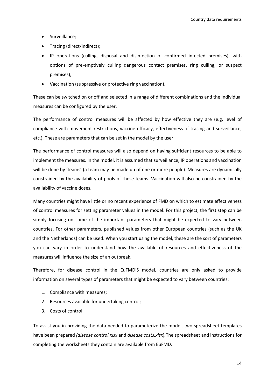- Surveillance;
- Tracing (direct/indirect);
- IP operations (culling, disposal and disinfection of confirmed infected premises), with options of pre-emptively culling dangerous contact premises, ring culling, or suspect premises);
- Vaccination (suppressive or protective ring vaccination).

These can be switched on or off and selected in a range of different combinations and the individual measures can be configured by the user.

The performance of control measures will be affected by how effective they are (e.g. level of compliance with movement restrictions, vaccine efficacy, effectiveness of tracing and surveillance, etc.). These are parameters that can be set in the model by the user.

The performance of control measures will also depend on having sufficient resources to be able to implement the measures. In the model, it is assumed that surveillance, IP operations and vaccination will be done by 'teams' (a team may be made up of one or more people). Measures are dynamically constrained by the availability of pools of these teams. Vaccination will also be constrained by the availability of vaccine doses.

Many countries might have little or no recent experience of FMD on which to estimate effectiveness of control measures for setting parameter values in the model. For this project, the first step can be simply focusing on some of the important parameters that might be expected to vary between countries. For other parameters, published values from other European countries (such as the UK and the Netherlands) can be used. When you start using the model, these are the sort of parameters you can vary in order to understand how the available of resources and effectiveness of the measures will influence the size of an outbreak.

Therefore, for disease control in the EuFMDiS model, countries are only asked to provide information on several types of parameters that might be expected to vary between countries:

- 1. Compliance with measures;
- 2. Resources available for undertaking control;
- 3. Costs of control.

To assist you in providing the data needed to parameterize the model, two spreadsheet templates have been prepared *(disease control.xlsx* and *disease costs.xlsx*)*.*The spreadsheet and instructions for completing the worksheets they contain are available from EuFMD.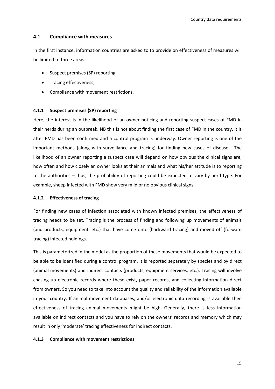### **4.1 Compliance with measures**

In the first instance, information countries are asked to to provide on effectiveness of measures will be limited to three areas:

- Suspect premises (SP) reporting;
- Tracing effectiveness;
- Compliance with movement restrictions.

### **4.1.1 Suspect premises (SP) reporting**

Here, the interest is in the likelihood of an owner noticing and reporting suspect cases of FMD in their herds during an outbreak. NB this is not about finding the first case of FMD in the country, it is after FMD has been confirmed and a control program is underway. Owner reporting is one of the important methods (along with surveillance and tracing) for finding new cases of disease. The likelihood of an owner reporting a suspect case will depend on how obvious the clinical signs are, how often and how closely an owner looks at their animals and what his/her attitude is to reporting to the authorities – thus, the probability of reporting could be expected to vary by herd type. For example, sheep infected with FMD show very mild or no obvious clinical signs.

### **4.1.2 Effectiveness of tracing**

For finding new cases of infection associated with known infected premises, the effectiveness of tracing needs to be set. Tracing is the process of finding and following up movements of animals (and products, equipment, etc.) that have come onto (backward tracing) and moved off (forward tracing) infected holdings.

This is parameterized in the model as the proportion of these movements that would be expected to be able to be identified during a control program. It is reported separately by species and by direct (animal movements) and indirect contacts (products, equipment services, etc.). Tracing will involve chasing up electronic records where these exist, paper records, and collecting information direct from owners. So you need to take into account the quality and reliability of the information available in your country. If animal movement databases, and/or electronic data recording is available then effectiveness of tracing animal movements might be high. Generally, there is less information available on indirect contacts and you have to rely on the owners' records and memory which may result in only 'moderate' tracing effectiveness for indirect contacts.

### **4.1.3 Compliance with movement restrictions**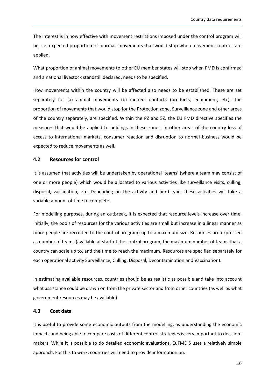The interest is in how effective with movement restrictions imposed under the control program will be, i.e. expected proportion of 'normal' movements that would stop when movement controls are applied.

What proportion of animal movements to other EU member states will stop when FMD is confirmed and a national livestock standstill declared, needs to be specified.

How movements within the country will be affected also needs to be established. These are set separately for (a) animal movements (b) indirect contacts (products, equipment, etc). The proportion of movements that would stop for the Protection zone, Surveillance zone and other areas of the country separately, are specified. Within the PZ and SZ, the EU FMD directive specifies the measures that would be applied to holdings in these zones. In other areas of the country loss of access to international markets, consumer reaction and disruption to normal business would be expected to reduce movements as well.

### **4.2 Resources for control**

It is assumed that activities will be undertaken by operational 'teams' (where a team may consist of one or more people) which would be allocated to various activities like surveillance visits, culling, disposal, vaccination, etc. Depending on the activity and herd type, these activities will take a variable amount of time to complete.

For modelling purposes, during an outbreak, it is expected that resource levels increase over time. Initially, the pools of resources for the various activities are small but increase in a linear manner as more people are recruited to the control program) up to a maximum size. Resources are expressed as number of teams (available at start of the control program, the maximum number of teams that a country can scale up to, and the time to reach the maximum. Resources are specified separately for each operational activity Surveillance, Culling, Disposal, Decontamination and Vaccination).

In estimating available resources, countries should be as realistic as possible and take into account what assistance could be drawn on from the private sector and from other countries (as well as what government resources may be available).

### **4.3 Cost data**

It is useful to provide some economic outputs from the modelling, as understanding the economic impacts and being able to compare costs of different control strategies is very important to decisionmakers. While it is possible to do detailed economic evaluations, EuFMDiS uses a relatively simple approach. For this to work, countries will need to provide information on: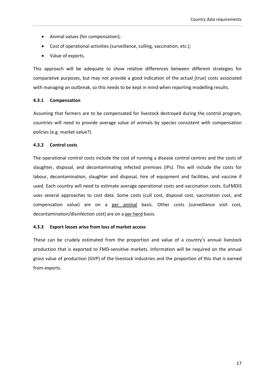- Animal values (for compensation);
- Cost of operational activities (surveillance, culling, vaccination, etc.);
- Value of exports.

This approach will be adequate to show relative differences between different strategies for comparative purposes, but may not provide a good indication of the actual (true) costs associated with managing an outbreak, so this needs to be kept in mind when reporting modelling results.

### **4.3.1 Compensation**

Assuming that farmers are to be compensated for livestock destroyed during the control program, countries will need to provide average value of animals by species consistent with compensation policies (e.g. market value?).

### **4.3.2 Control costs**

The operational control costs include the cost of running a disease control centres and the costs of slaughter, disposal, and decontaminating infected premises (IPs). This will include the costs for labour, decontamination, slaughter and disposal, hire of equipment and facilities, and vaccine if used. Each country will need to estimate average operational costs and vaccination costs. EuFMDiS uses several approaches to cost data. Some costs (cull cost, disposal cost, vaccination cost, and compensation value) are on a per animal basis. Other costs (surveillance visit cost, decontamination/disinfection cost) are on a per herd basis.

### **4.3.3 Export losses arise from loss of market access**

These can be crudely estimated from the proportion and value of a country's annual livestock production that is exported to FMD-sensitive markets. Information will be required on the annual gross value of production (GVP) of the livestock industries and the proportion of this that is earned from exports.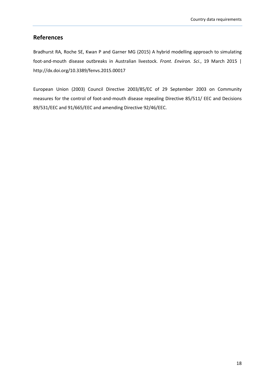### **References**

Bradhurst RA, Roche SE, Kwan P and Garner MG (2015) A hybrid modelling approach to simulating foot-and-mouth disease outbreaks in Australian livestock. *Front. Environ. Sci*., 19 March 2015 | <http://dx.doi.org/10.3389/fenvs.2015.00017>

European Union (2003) Council Directive 2003/85/EC of 29 September 2003 on Community measures for the control of foot-and-mouth disease repealing Directive 85/511/ EEC and Decisions 89/531/EEC and 91/665/EEC and amending Directive 92/46/EEC.